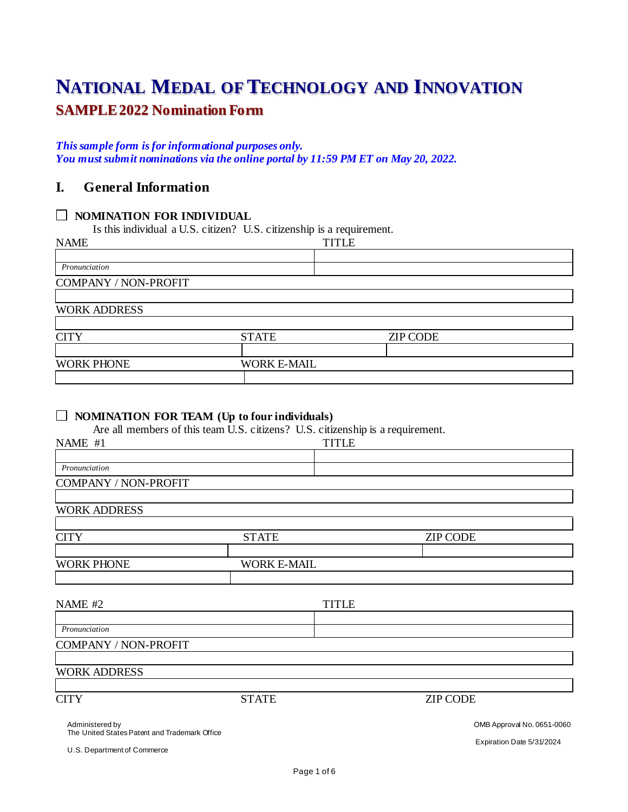# **NATIONAL MEDAL OF TECHNOLOGY AND INNOVATION SAMPLE 2022 Nomination Form**

#### *This sample form is for informational purposes only. You must submit nominations via the online portal by 11:59 PM ET on May 20, 2022.*

## **I. General Information**

## **NOMINATION FOR INDIVIDUAL**

Is this individual a U.S. citizen? U.S. citizenship is a requirement.

| <b>ZIP CODE</b><br><b>STATE</b> |
|---------------------------------|
| <b>WORK E-MAIL</b>              |
|                                 |
|                                 |
|                                 |

## **NOMINATION FOR TEAM (Up to four individuals)**

Are all members of this team U.S. citizens? U.S. citizenship is a requirement.

| NAME #1                                                          |                    | <b>TITLE</b> |                 |                            |
|------------------------------------------------------------------|--------------------|--------------|-----------------|----------------------------|
|                                                                  |                    |              |                 |                            |
| Pronunciation                                                    |                    |              |                 |                            |
| COMPANY / NON-PROFIT                                             |                    |              |                 |                            |
|                                                                  |                    |              |                 |                            |
| <b>WORK ADDRESS</b>                                              |                    |              |                 |                            |
|                                                                  |                    |              |                 |                            |
| <b>CITY</b>                                                      | <b>STATE</b>       |              | <b>ZIP CODE</b> |                            |
|                                                                  |                    |              |                 |                            |
| <b>WORK PHONE</b>                                                | <b>WORK E-MAIL</b> |              |                 |                            |
|                                                                  |                    |              |                 |                            |
|                                                                  |                    |              |                 |                            |
| NAME #2                                                          |                    | <b>TITLE</b> |                 |                            |
|                                                                  |                    |              |                 |                            |
| Pronunciation                                                    |                    |              |                 |                            |
| COMPANY / NON-PROFIT                                             |                    |              |                 |                            |
|                                                                  |                    |              |                 |                            |
| <b>WORK ADDRESS</b>                                              |                    |              |                 |                            |
|                                                                  |                    |              |                 |                            |
| <b>CITY</b>                                                      | <b>STATE</b>       |              | <b>ZIP CODE</b> |                            |
|                                                                  |                    |              |                 |                            |
| Administered by<br>The United States Patent and Trademark Office |                    |              |                 | OMB Approval No. 0651-0060 |

U.S. Department of Commerce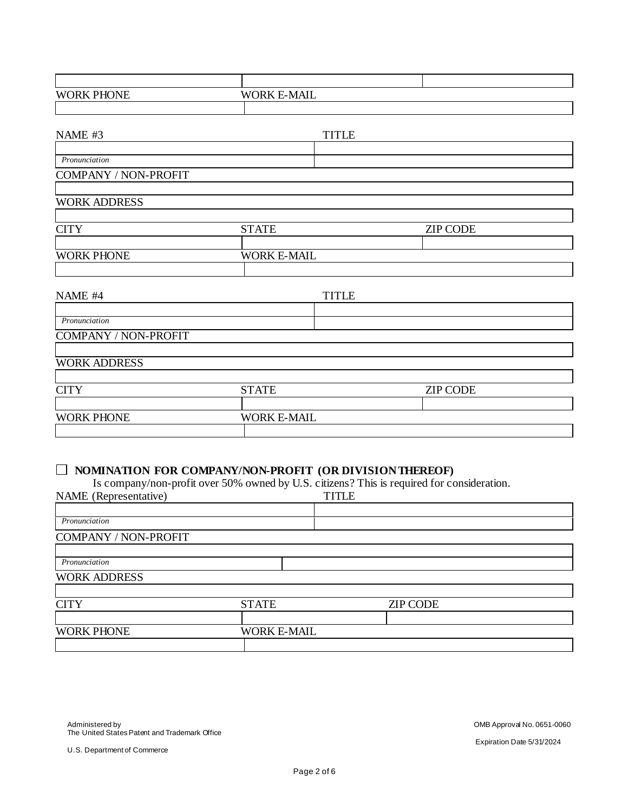| <b>WORK PHONE</b>                                       | <b>WORK E-MAIL</b> |                    |                                                                                            |  |
|---------------------------------------------------------|--------------------|--------------------|--------------------------------------------------------------------------------------------|--|
|                                                         |                    |                    |                                                                                            |  |
|                                                         |                    |                    |                                                                                            |  |
| NAME #3                                                 |                    | <b>TITLE</b>       |                                                                                            |  |
| Pronunciation                                           |                    |                    |                                                                                            |  |
| COMPANY / NON-PROFIT                                    |                    |                    |                                                                                            |  |
|                                                         |                    |                    |                                                                                            |  |
| <b>WORK ADDRESS</b>                                     |                    |                    |                                                                                            |  |
|                                                         |                    |                    |                                                                                            |  |
| <b>CITY</b>                                             | <b>STATE</b>       |                    | <b>ZIP CODE</b>                                                                            |  |
|                                                         |                    |                    |                                                                                            |  |
| <b>WORK PHONE</b>                                       | <b>WORK E-MAIL</b> |                    |                                                                                            |  |
|                                                         |                    |                    |                                                                                            |  |
| NAME #4                                                 |                    | <b>TITLE</b>       |                                                                                            |  |
|                                                         |                    |                    |                                                                                            |  |
| Pronunciation                                           |                    |                    |                                                                                            |  |
| COMPANY / NON-PROFIT                                    |                    |                    |                                                                                            |  |
|                                                         |                    |                    |                                                                                            |  |
| <b>WORK ADDRESS</b>                                     |                    |                    |                                                                                            |  |
| <b>CITY</b>                                             | <b>STATE</b>       |                    | <b>ZIP CODE</b>                                                                            |  |
|                                                         |                    |                    |                                                                                            |  |
| <b>WORK PHONE</b>                                       |                    | <b>WORK E-MAIL</b> |                                                                                            |  |
|                                                         |                    |                    |                                                                                            |  |
|                                                         |                    |                    |                                                                                            |  |
|                                                         |                    |                    |                                                                                            |  |
| NOMINATION FOR COMPANY/NON-PROFIT (OR DIVISION THEREOF) |                    |                    | Is company/non-profit over 50% owned by U.S. citizens? This is required for consideration. |  |
| NAME (Representative)                                   |                    | <b>TITLE</b>       |                                                                                            |  |
|                                                         |                    |                    |                                                                                            |  |
| Pronunciation                                           |                    |                    |                                                                                            |  |
| COMPANY / NON-PROFIT                                    |                    |                    |                                                                                            |  |

| n<br>Pronunciation                      |  |
|-----------------------------------------|--|
| <b>DECC</b><br>$W\Gamma$<br>۸Ŋ<br>`}R K |  |

| CITTY             | <b>STATE</b>       | <b>ZIP CODE</b> |  |
|-------------------|--------------------|-----------------|--|
|                   |                    |                 |  |
| <b>WORK PHONE</b> | <b>WORK E-MAIL</b> |                 |  |
|                   |                    |                 |  |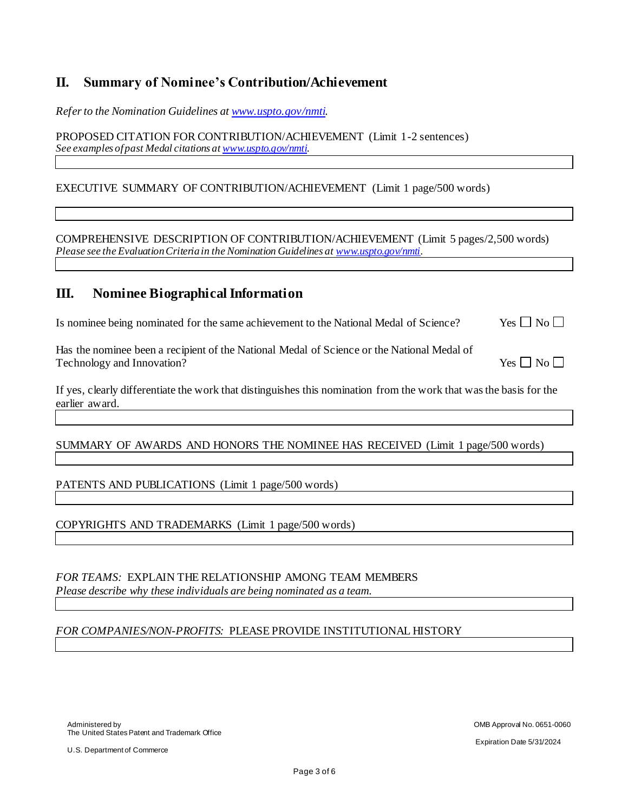## **II. Summary of Nominee's Contribution/Achievement**

*Refer to the Nomination Guidelines a[t www.uspto.gov/nmti](http://www.uspto.gov/nmti).* 

PROPOSED CITATION FOR CONTRIBUTION/ACHIEVEMENT (Limit 1-2 sentences) *See examples of past Medal citations a[t www.uspto.gov/nmti](http://www.uspto.gov/nmti).* 

#### EXECUTIVE SUMMARY OF CONTRIBUTION/ACHIEVEMENT (Limit 1 page/500 words)

COMPREHENSIVE DESCRIPTION OF CONTRIBUTION/ACHIEVEMENT (Limit 5 pages/2,500 words) *Please see the Evaluation Criteria in the Nomination Guidelines a[t www.uspto.gov/nmti](http://www.uspto.gov/nmti).* 

## **III. Nominee Biographical Information**

| Is nominee being nominated for the same achievement to the National Medal of Science? | Yes $\Box$ No $\Box$ |
|---------------------------------------------------------------------------------------|----------------------|
|---------------------------------------------------------------------------------------|----------------------|

Has the nominee been a recipient of the National Medal of Science or the National Medal of Technology and Innovation?  $Yes \Box No \Box$ 

If yes, clearly differentiate the work that distinguishes this nomination from the work that was the basis for the earlier award.

SUMMARY OF AWARDS AND HONORS THE NOMINEE HAS RECEIVED (Limit 1 page/500 words)

#### PATENTS AND PUBLICATIONS (Limit 1 page/500 words)

COPYRIGHTS AND TRADEMARKS (Limit 1 page/500 words)

*FOR TEAMS:* EXPLAIN THE RELATIONSHIP AMONG TEAM MEMBERS *Please describe why these individuals are being nominated as a team.*

#### *FOR COMPANIES/NON-PROFITS:* PLEASE PROVIDE INSTITUTIONAL HISTORY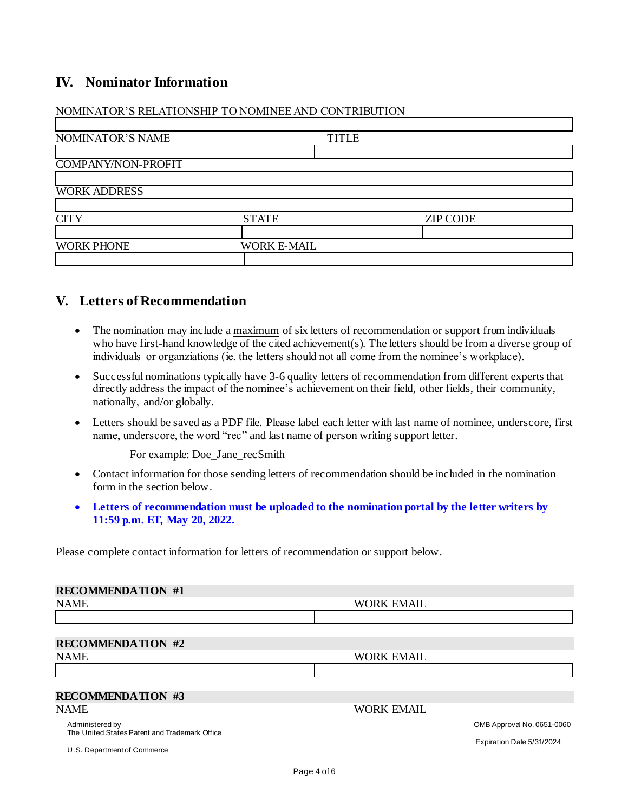## **IV. Nominator Information**

|                     | NOMINATOR'S RELATIONSHIP TO NOMINEE AND CONTRIBUTION |              |                 |  |
|---------------------|------------------------------------------------------|--------------|-----------------|--|
| NOMINATOR'S NAME    |                                                      | <b>TITLE</b> |                 |  |
| COMPANY/NON-PROFIT  |                                                      |              |                 |  |
| <b>WORK ADDRESS</b> |                                                      |              |                 |  |
| <b>CITY</b>         | <b>STATE</b>                                         |              | <b>ZIP CODE</b> |  |
|                     |                                                      |              |                 |  |
| <b>WORK PHONE</b>   | <b>WORK E-MAIL</b>                                   |              |                 |  |

## **V. Letters of Recommendation**

- The nomination may include a maximum of six letters of recommendation or support from individuals who have first-hand knowledge of the cited achievement(s). The letters should be from a diverse group of individuals or organziations (ie. the letters should not all come from the nominee's workplace).
- Successful nominations typically have 3-6 quality letters of recommendation from different experts that directly address the impact of the nominee's achievement on their field, other fields, their community, nationally, and/or globally.
- Letters should be saved as a PDF file. Please label each letter with last name of nominee, underscore, first name, underscore, the word "rec" and last name of person writing support letter.

For example: Doe Jane\_recSmith

- Contact information for those sending letters of recommendation should be included in the nomination form in the section below.
- **Letters of recommendation must be uploaded to the nomination portal by the letter writers by 11:59 p.m. ET, May 20, 2022.**

Please complete contact information for letters of recommendation or support below.

| <b>RECOMMENDATION #1</b>                                         |                   |                            |
|------------------------------------------------------------------|-------------------|----------------------------|
| <b>NAME</b>                                                      | <b>WORK EMAIL</b> |                            |
|                                                                  |                   |                            |
|                                                                  |                   |                            |
| <b>RECOMMENDATION #2</b>                                         |                   |                            |
| <b>NAME</b>                                                      | <b>WORK EMAIL</b> |                            |
|                                                                  |                   |                            |
|                                                                  |                   |                            |
| <b>RECOMMENDATION #3</b>                                         |                   |                            |
| <b>NAME</b>                                                      | <b>WORK EMAIL</b> |                            |
| Administered by<br>The United States Patent and Trademark Office |                   | OMB Approval No. 0651-0060 |

U.S. Department of Commerce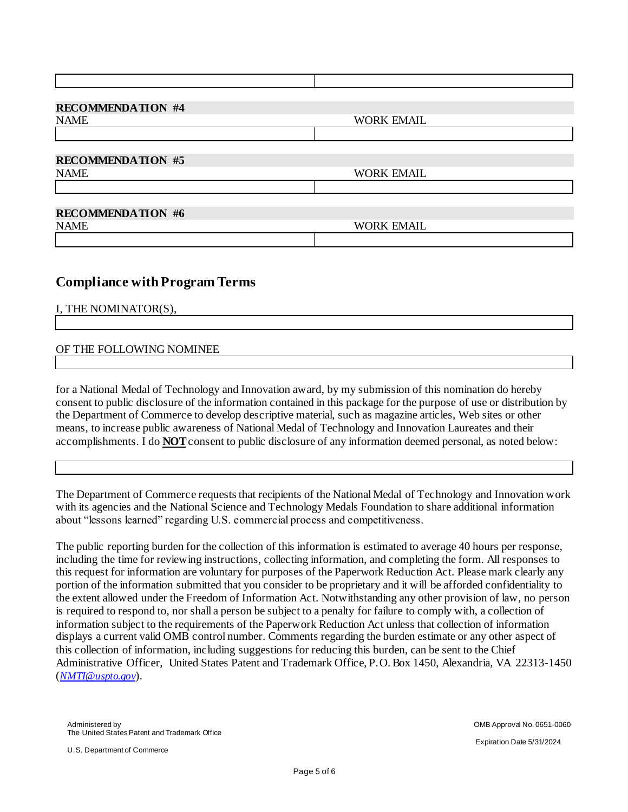| <b>RECOMMENDATION #4</b> |                   |
|--------------------------|-------------------|
| <b>NAME</b>              | <b>WORK EMAIL</b> |
|                          |                   |
| <b>RECOMMENDATION #5</b> |                   |
| <b>NAME</b>              | <b>WORK EMAIL</b> |
|                          |                   |
| <b>RECOMMENDATION #6</b> |                   |
| <b>NAME</b>              | <b>WORK EMAIL</b> |
|                          |                   |

## **Compliance with Program Terms**

I, THE NOMINATOR(S),

#### OF THE FOLLOWING NOMINEE

for a National Medal of Technology and Innovation award, by my submission of this nomination do hereby consent to public disclosure of the information contained in this package for the purpose of use or distribution by the Department of Commerce to develop descriptive material, such as magazine articles, Web sites or other means, to increase public awareness of National Medal of Technology and Innovation Laureates and their accomplishments. I do **NOT**consent to public disclosure of any information deemed personal, as noted below:

The Department of Commerce requests that recipients of the National Medal of Technology and Innovation work with its agencies and the National Science and Technology Medals Foundation to share additional information about "lessons learned" regarding U.S. commercial process and competitiveness.

The public reporting burden for the collection of this information is estimated to average 40 hours per response, including the time for reviewing instructions, collecting information, and completing the form. All responses to this request for information are voluntary for purposes of the Paperwork Reduction Act. Please mark clearly any portion of the information submitted that you consider to be proprietary and it will be afforded confidentiality to the extent allowed under the Freedom of Information Act. Notwithstanding any other provision of law, no person is required to respond to, nor shall a person be subject to a penalty for failure to comply with, a collection of information subject to the requirements of the Paperwork Reduction Act unless that collection of information displays a current valid OMB control number. Comments regarding the burden estimate or any other aspect of this collection of information, including suggestions for reducing this burden, can be sent to the Chief Administrative Officer, United States Patent and Trademark Office, P.O. Box 1450, Alexandria, VA 22313-1450 (*[NMTI@uspto.gov](mailto:NMTI@uspto.gov)*).

U.S. Department of Commerce